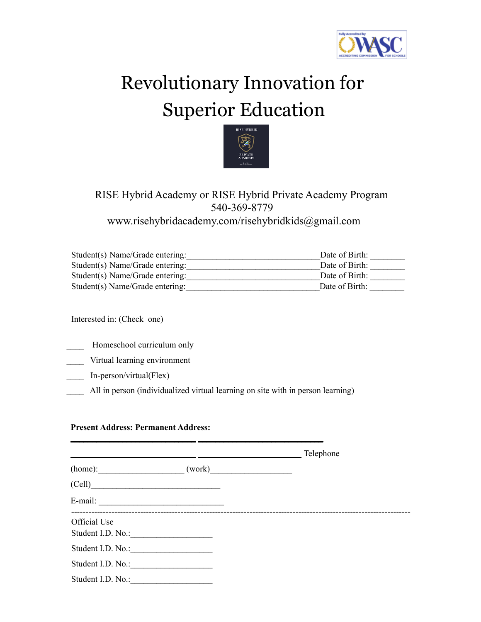

# Revolutionary Innovation for Superior Education



### RISE Hybrid Academy or RISE Hybrid Private Academy Program 540-369-8779 www.risehybridacademy.com/risehybridkids@gmail.com

| Student(s) Name/Grade entering: | Date of Birth: |
|---------------------------------|----------------|
| Student(s) Name/Grade entering: | Date of Birth: |
| Student(s) Name/Grade entering: | Date of Birth: |
| Student(s) Name/Grade entering: | Date of Birth: |

Interested in: (Check one)

- Homeschool curriculum only
- \_\_\_\_ Virtual learning environment
- \_\_\_\_ In-person/virtual(Flex)
- All in person (individualized virtual learning on site with in person learning)

\_\_\_\_\_\_\_\_\_\_\_\_\_\_\_\_\_\_\_\_\_\_\_\_\_\_\_\_\_ \_\_\_\_\_\_\_\_\_\_\_\_\_\_\_\_\_\_\_\_\_\_\_\_\_\_\_\_\_

#### **Present Address: Permanent Address:**

|                                   |        | Telephone |
|-----------------------------------|--------|-----------|
| (home):                           | (work) |           |
| (Cell)                            |        |           |
|                                   |        |           |
| Official Use<br>Student I.D. No.: |        |           |
| Student I.D. No.:                 |        |           |
| Student I.D. No.:                 |        |           |
| Student I.D. No.:                 |        |           |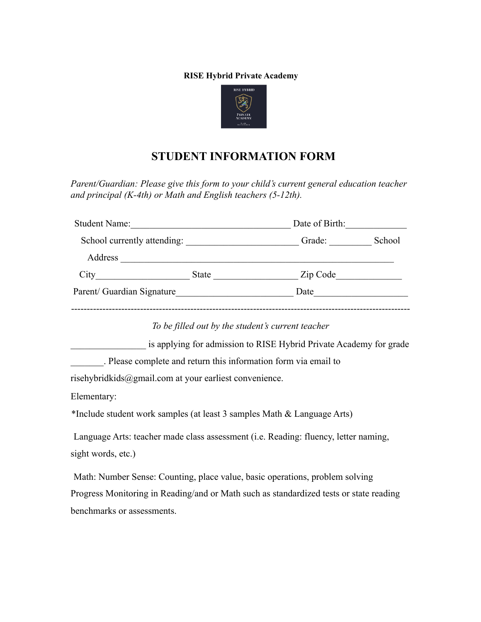#### **RISE Hybrid Private Academy**



## **STUDENT INFORMATION FORM**

*Parent/Guardian: Please give this form to your child's current general education teacher and principal (K-4th) or Math and English teachers (5-12th).*

| <b>Student Name:</b>        | Date of Birth: |          |        |
|-----------------------------|----------------|----------|--------|
| School currently attending: | Grade:         |          | School |
| Address                     |                |          |        |
| City                        | State          | Zip Code |        |
| Parent/ Guardian Signature  |                | Date     |        |
|                             |                |          |        |

*To be filled out by the student's current teacher*

is applying for admission to RISE Hybrid Private Academy for grade

\_\_\_\_\_\_\_. Please complete and return this information form via email to

risehybridkids@gmail.com at your earliest convenience.

Elementary:

\*Include student work samples (at least 3 samples Math & Language Arts)

Language Arts: teacher made class assessment (i.e. Reading: fluency, letter naming, sight words, etc.)

Math: Number Sense: Counting, place value, basic operations, problem solving Progress Monitoring in Reading/and or Math such as standardized tests or state reading benchmarks or assessments.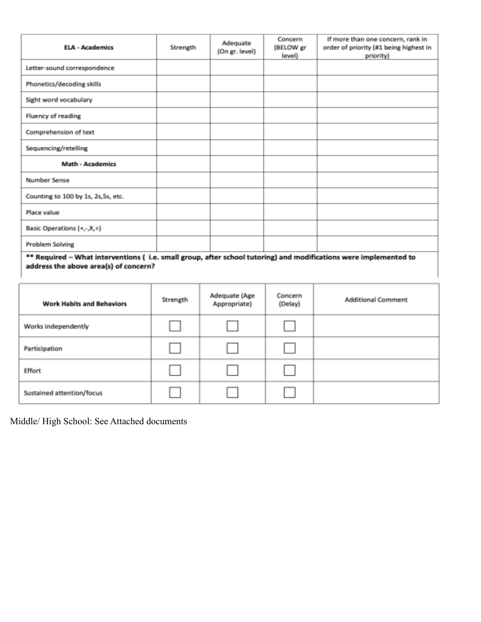| <b>ELA - Academics</b>              | Strength | Adequate<br>(On gr. level) | Concern<br>(BELOW gr<br>level) | If more than one concern, rank in<br>order of priority (#1 being highest in<br>priority) |
|-------------------------------------|----------|----------------------------|--------------------------------|------------------------------------------------------------------------------------------|
| Letter-sound correspondence         |          |                            |                                |                                                                                          |
| Phonetics/decoding skills           |          |                            |                                |                                                                                          |
| Sight word vocabulary               |          |                            |                                |                                                                                          |
| Fluency of reading                  |          |                            |                                |                                                                                          |
| Comprehension of text               |          |                            |                                |                                                                                          |
| Sequencing/retelling                |          |                            |                                |                                                                                          |
| <b>Math - Academics</b>             |          |                            |                                |                                                                                          |
| Number Sense                        |          |                            |                                |                                                                                          |
| Counting to 100 by 1s, 2s, 5s, etc. |          |                            |                                |                                                                                          |
| Place value                         |          |                            |                                |                                                                                          |
| Basic Operations (+,-,X,+)          |          |                            |                                |                                                                                          |
| Problem Solving                     |          |                            |                                |                                                                                          |

\*\* Required - What interventions (i.e. small group, after school tutoring) and modifications were implemented to address the above area(s) of concern?

| <b>Work Habits and Behaviors</b> | Strength | Adequate (Age<br>Appropriate) | Concern<br>(Delay) | <b>Additional Comment</b> |
|----------------------------------|----------|-------------------------------|--------------------|---------------------------|
| Works independently              |          |                               |                    |                           |
| Participation                    |          |                               |                    |                           |
| Effort                           |          |                               |                    |                           |
| Sustained attention/focus        |          |                               |                    |                           |

Middle/ High School: See Attached documents